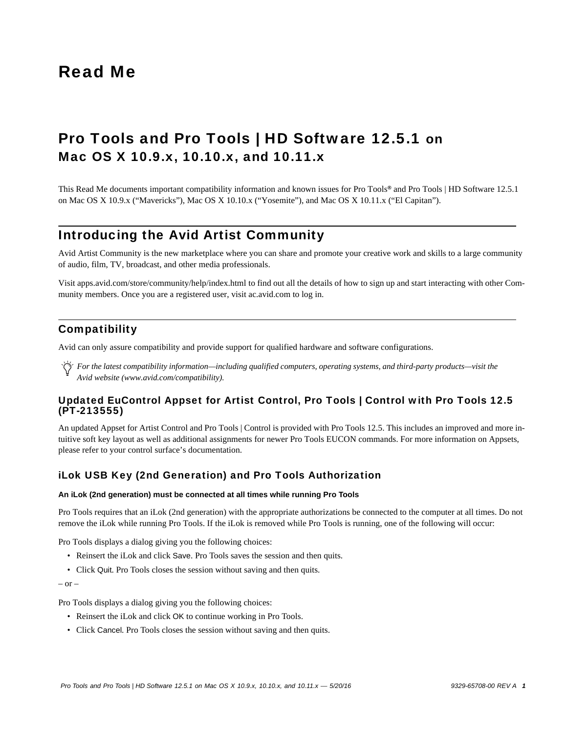# Read Me

# Pro Tools and Pro Tools | HD Software 12.5.1 on Mac OS X 10.9.x, 10.10.x, and 10.11.x

This Read Me documents important compatibility information and known issues for Pro Tools*®* and Pro Tools | HD Software 12.5.1 on Mac OS X 10.9.x ("Mavericks"), Mac OS X 10.10.x ("Yosemite"), and Mac OS X 10.11.x ("El Capitan").

# Introducing the Avid Artist Community

Avid Artist Community is the new marketplace where you can share and promote your creative work and skills to a large community of audio, film, TV, broadcast, and other media professionals.

[Visit apps.avid.com/store/community/help/index.html to find out all the details of how to sign up and start interacting with other Com](http://ac.avid.com/)munity members. Once you are a registered user, visit ac.avid.com to log in.

# **Compatibility**

Avid can only assure compatibility and provide support for qualified hardware and software configurations.

*For the latest compatibility information—including qualified computers, operating systems, and third-party products—visit the Avid website (www.avid.com/compatibility).*

# Updated EuControl Appset for Artist Control, Pro Tools | Control with Pro Tools 12.5 (PT-213555)

An updated Appset for Artist Control and Pro Tools | Control is provided with Pro Tools 12.5. This includes an improved and more intuitive soft key layout as well as additional assignments for newer Pro Tools EUCON commands. For more information on Appsets, please refer to your control surface's documentation.

# iLok USB Key (2nd Generation) and Pro Tools Authorization

#### **An iLok (2nd generation) must be connected at all times while running Pro Tools**

Pro Tools requires that an iLok (2nd generation) with the appropriate authorizations be connected to the computer at all times. Do not remove the iLok while running Pro Tools. If the iLok is removed while Pro Tools is running, one of the following will occur:

Pro Tools displays a dialog giving you the following choices:

- Reinsert the iLok and click Save. Pro Tools saves the session and then quits.
- Click Quit. Pro Tools closes the session without saving and then quits.

 $-$  or  $-$ 

Pro Tools displays a dialog giving you the following choices:

- Reinsert the iLok and click OK to continue working in Pro Tools.
- Click Cancel. Pro Tools closes the session without saving and then quits.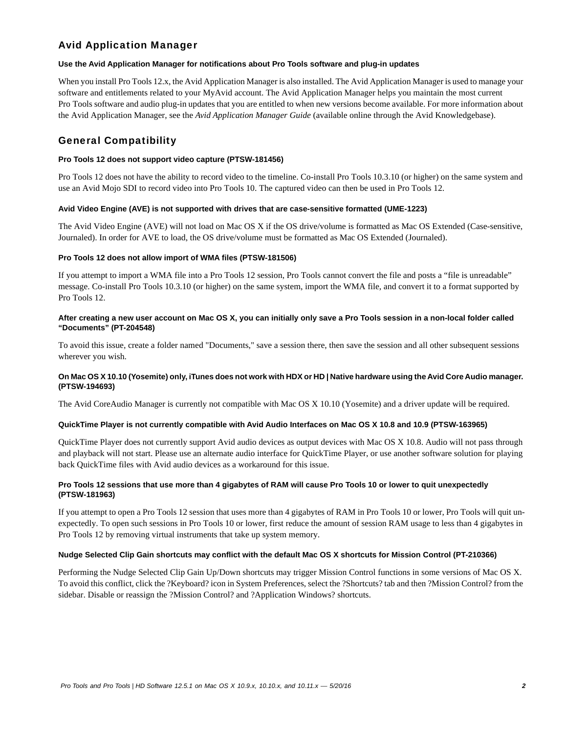# Avid Application Manager

# **Use the Avid Application Manager for notifications about Pro Tools software and plug-in updates**

When you install Pro Tools 12.x, the Avid Application Manager is also installed. The Avid Application Manager is used to manage your software and entitlements related to your MyAvid account. The Avid Application Manager helps you maintain the most current Pro Tools software and audio plug-in updates that you are entitled to when new versions become available. For more information about the Avid Application Manager, see the *Avid Application Manager Guide* (available online through the Avid Knowledgebase).

# General Compatibility

### **Pro Tools 12 does not support video capture (PTSW-181456)**

Pro Tools 12 does not have the ability to record video to the timeline. Co-install Pro Tools 10.3.10 (or higher) on the same system and use an Avid Mojo SDI to record video into Pro Tools 10. The captured video can then be used in Pro Tools 12.

#### **Avid Video Engine (AVE) is not supported with drives that are case-sensitive formatted (UME-1223)**

The Avid Video Engine (AVE) will not load on Mac OS X if the OS drive/volume is formatted as Mac OS Extended (Case-sensitive, Journaled). In order for AVE to load, the OS drive/volume must be formatted as Mac OS Extended (Journaled).

#### **Pro Tools 12 does not allow import of WMA files (PTSW-181506)**

If you attempt to import a WMA file into a Pro Tools 12 session, Pro Tools cannot convert the file and posts a "file is unreadable" message. Co-install Pro Tools 10.3.10 (or higher) on the same system, import the WMA file, and convert it to a format supported by Pro Tools 12.

### **After creating a new user account on Mac OS X, you can initially only save a Pro Tools session in a non-local folder called "Documents" (PT-204548)**

To avoid this issue, create a folder named "Documents," save a session there, then save the session and all other subsequent sessions wherever you wish.

# **On Mac OS X 10.10 (Yosemite) only, iTunes does not work with HDX or HD | Native hardware using the Avid Core Audio manager. (PTSW-194693)**

The Avid CoreAudio Manager is currently not compatible with Mac OS X 10.10 (Yosemite) and a driver update will be required.

# **QuickTime Player is not currently compatible with Avid Audio Interfaces on Mac OS X 10.8 and 10.9 (PTSW-163965)**

QuickTime Player does not currently support Avid audio devices as output devices with Mac OS X 10.8. Audio will not pass through and playback will not start. Please use an alternate audio interface for QuickTime Player, or use another software solution for playing back QuickTime files with Avid audio devices as a workaround for this issue.

# **Pro Tools 12 sessions that use more than 4 gigabytes of RAM will cause Pro Tools 10 or lower to quit unexpectedly (PTSW-181963)**

If you attempt to open a Pro Tools 12 session that uses more than 4 gigabytes of RAM in Pro Tools 10 or lower, Pro Tools will quit unexpectedly. To open such sessions in Pro Tools 10 or lower, first reduce the amount of session RAM usage to less than 4 gigabytes in Pro Tools 12 by removing virtual instruments that take up system memory.

#### **Nudge Selected Clip Gain shortcuts may conflict with the default Mac OS X shortcuts for Mission Control (PT-210366)**

Performing the Nudge Selected Clip Gain Up/Down shortcuts may trigger Mission Control functions in some versions of Mac OS X. To avoid this conflict, click the ?Keyboard? icon in System Preferences, select the ?Shortcuts? tab and then ?Mission Control? from the sidebar. Disable or reassign the ?Mission Control? and ?Application Windows? shortcuts.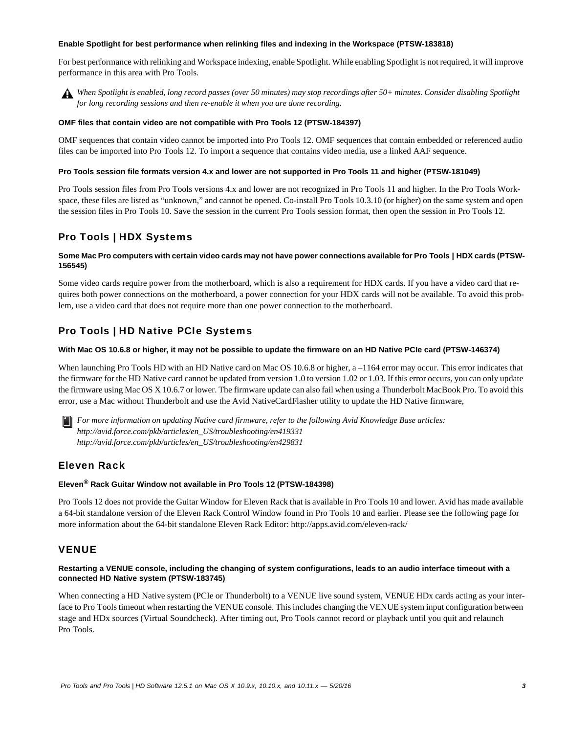#### **Enable Spotlight for best performance when relinking files and indexing in the Workspace (PTSW-183818)**

For best performance with relinking and Workspace indexing, enable Spotlight. While enabling Spotlight is not required, it will improve performance in this area with Pro Tools.

*When Spotlight is enabled, long record passes (over 50 minutes) may stop recordings after 50+ minutes. Consider disabling Spotlight for long recording sessions and then re-enable it when you are done recording.*

#### **OMF files that contain video are not compatible with Pro Tools 12 (PTSW-184397)**

OMF sequences that contain video cannot be imported into Pro Tools 12. OMF sequences that contain embedded or referenced audio files can be imported into Pro Tools 12. To import a sequence that contains video media, use a linked AAF sequence.

#### **Pro Tools session file formats version 4.x and lower are not supported in Pro Tools 11 and higher (PTSW-181049)**

Pro Tools session files from Pro Tools versions 4.x and lower are not recognized in Pro Tools 11 and higher. In the Pro Tools Workspace, these files are listed as "unknown," and cannot be opened. Co-install Pro Tools 10.3.10 (or higher) on the same system and open the session files in Pro Tools 10. Save the session in the current Pro Tools session format, then open the session in Pro Tools 12.

# Pro Tools | HDX Systems

### Some Mac Pro computers with certain video cards may not have power connections available for Pro Tools | HDX cards (PTSW-**156545)**

Some video cards require power from the motherboard, which is also a requirement for HDX cards. If you have a video card that requires both power connections on the motherboard, a power connection for your HDX cards will not be available. To avoid this problem, use a video card that does not require more than one power connection to the motherboard.

# Pro Tools | HD Native PCIe Systems

#### **With Mac OS 10.6.8 or higher, it may not be possible to update the firmware on an HD Native PCIe card (PTSW-146374)**

When launching Pro Tools HD with an HD Native card on Mac OS 10.6.8 or higher, a -1164 error may occur. This error indicates that the firmware for the HD Native card cannot be updated from version 1.0 to version 1.02 or 1.03. If this error occurs, you can only update the firmware using Mac OS X 10.6.7 or lower. The firmware update can also fail when using a Thunderbolt MacBook Pro. To avoid this error, use a Mac without Thunderbolt and use the Avid NativeCardFlasher utility to update the HD Native firmware,

*For more information on updating Native card firmware, refer to the following Avid Knowledge Base articles: http://avid.force.com/pkb/articles/en\_US/troubleshooting/en419331 http://avid.force.com/pkb/articles/en\_US/troubleshooting/en429831*

# Eleven Rack

# **Eleven® Rack Guitar Window not available in Pro Tools 12 (PTSW-184398)**

Pro Tools 12 does not provide the Guitar Window for Eleven Rack that is available in Pro Tools 10 and lower. Avid has made available a 64-bit standalone version of the Eleven Rack Control Window found in Pro Tools 10 and earlier. Please see the following page for more information about the 64-bit standalone Eleven Rack Editor: http://apps.avid.com/eleven-rack/

# VENUE

### **Restarting a VENUE console, including the changing of system configurations, leads to an audio interface timeout with a connected HD Native system (PTSW-183745)**

When connecting a HD Native system (PCIe or Thunderbolt) to a VENUE live sound system, VENUE HDx cards acting as your interface to Pro Tools timeout when restarting the VENUE console. This includes changing the VENUE system input configuration between stage and HDx sources (Virtual Soundcheck). After timing out, Pro Tools cannot record or playback until you quit and relaunch Pro Tools.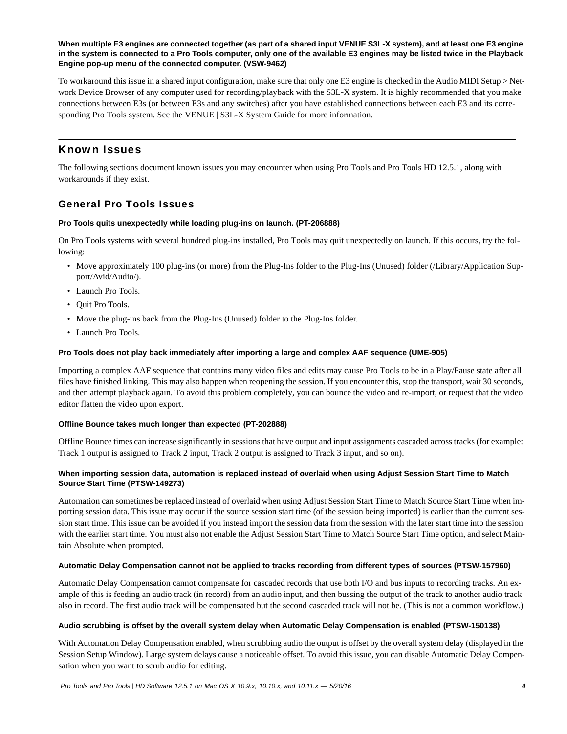#### **When multiple E3 engines are connected together (as part of a shared input VENUE S3L-X system), and at least one E3 engine in the system is connected to a Pro Tools computer, only one of the available E3 engines may be listed twice in the Playback Engine pop-up menu of the connected computer. (VSW-9462)**

To workaround this issue in a shared input configuration, make sure that only one E3 engine is checked in the Audio MIDI Setup > Network Device Browser of any computer used for recording/playback with the S3L-X system. It is highly recommended that you make connections between E3s (or between E3s and any switches) after you have established connections between each E3 and its corresponding Pro Tools system. See the VENUE | S3L-X System Guide for more information.

# Known Issues

The following sections document known issues you may encounter when using Pro Tools and Pro Tools HD 12.5.1, along with workarounds if they exist.

# General Pro Tools Issues

# **Pro Tools quits unexpectedly while loading plug-ins on launch. (PT-206888)**

On Pro Tools systems with several hundred plug-ins installed, Pro Tools may quit unexpectedly on launch. If this occurs, try the following:

- Move approximately 100 plug-ins (or more) from the Plug-Ins folder to the Plug-Ins (Unused) folder (/Library/Application Support/Avid/Audio/).
- Launch Pro Tools.
- Quit Pro Tools.
- Move the plug-ins back from the Plug-Ins (Unused) folder to the Plug-Ins folder.
- Launch Pro Tools.

#### **Pro Tools does not play back immediately after importing a large and complex AAF sequence (UME-905)**

Importing a complex AAF sequence that contains many video files and edits may cause Pro Tools to be in a Play/Pause state after all files have finished linking. This may also happen when reopening the session. If you encounter this, stop the transport, wait 30 seconds, and then attempt playback again. To avoid this problem completely, you can bounce the video and re-import, or request that the video editor flatten the video upon export.

# **Offline Bounce takes much longer than expected (PT-202888)**

Offline Bounce times can increase significantly in sessions that have output and input assignments cascaded across tracks (for example: Track 1 output is assigned to Track 2 input, Track 2 output is assigned to Track 3 input, and so on).

# **When importing session data, automation is replaced instead of overlaid when using Adjust Session Start Time to Match Source Start Time (PTSW-149273)**

Automation can sometimes be replaced instead of overlaid when using Adjust Session Start Time to Match Source Start Time when importing session data. This issue may occur if the source session start time (of the session being imported) is earlier than the current session start time. This issue can be avoided if you instead import the session data from the session with the later start time into the session with the earlier start time. You must also not enable the Adjust Session Start Time to Match Source Start Time option, and select Maintain Absolute when prompted.

#### **Automatic Delay Compensation cannot not be applied to tracks recording from different types of sources (PTSW-157960)**

Automatic Delay Compensation cannot compensate for cascaded records that use both I/O and bus inputs to recording tracks. An example of this is feeding an audio track (in record) from an audio input, and then bussing the output of the track to another audio track also in record. The first audio track will be compensated but the second cascaded track will not be. (This is not a common workflow.)

#### **Audio scrubbing is offset by the overall system delay when Automatic Delay Compensation is enabled (PTSW-150138)**

With Automation Delay Compensation enabled, when scrubbing audio the output is offset by the overall system delay (displayed in the Session Setup Window). Large system delays cause a noticeable offset. To avoid this issue, you can disable Automatic Delay Compensation when you want to scrub audio for editing.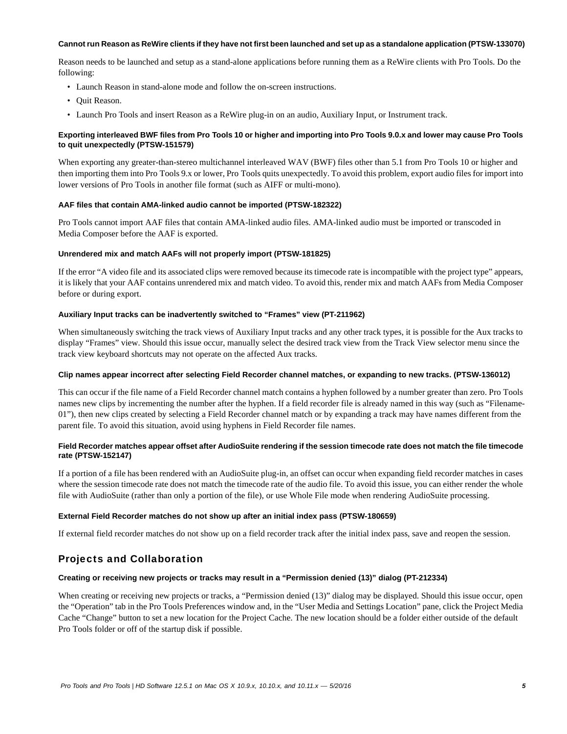#### **Cannot run Reason as ReWire clients if they have not first been launched and set up as a standalone application (PTSW-133070)**

Reason needs to be launched and setup as a stand-alone applications before running them as a ReWire clients with Pro Tools. Do the following:

- Launch Reason in stand-alone mode and follow the on-screen instructions.
- Quit Reason.
- Launch Pro Tools and insert Reason as a ReWire plug-in on an audio, Auxiliary Input, or Instrument track.

#### **Exporting interleaved BWF files from Pro Tools 10 or higher and importing into Pro Tools 9.0.x and lower may cause Pro Tools to quit unexpectedly (PTSW-151579)**

When exporting any greater-than-stereo multichannel interleaved WAV (BWF) files other than 5.1 from Pro Tools 10 or higher and then importing them into Pro Tools 9.x or lower, Pro Tools quits unexpectedly. To avoid this problem, export audio files for import into lower versions of Pro Tools in another file format (such as AIFF or multi-mono).

#### **AAF files that contain AMA-linked audio cannot be imported (PTSW-182322)**

Pro Tools cannot import AAF files that contain AMA-linked audio files. AMA-linked audio must be imported or transcoded in Media Composer before the AAF is exported.

#### **Unrendered mix and match AAFs will not properly import (PTSW-181825)**

If the error "A video file and its associated clips were removed because its timecode rate is incompatible with the project type" appears, it is likely that your AAF contains unrendered mix and match video. To avoid this, render mix and match AAFs from Media Composer before or during export.

#### **Auxiliary Input tracks can be inadvertently switched to "Frames" view (PT-211962)**

When simultaneously switching the track views of Auxiliary Input tracks and any other track types, it is possible for the Aux tracks to display "Frames" view. Should this issue occur, manually select the desired track view from the Track View selector menu since the track view keyboard shortcuts may not operate on the affected Aux tracks.

#### **Clip names appear incorrect after selecting Field Recorder channel matches, or expanding to new tracks. (PTSW-136012)**

This can occur if the file name of a Field Recorder channel match contains a hyphen followed by a number greater than zero. Pro Tools names new clips by incrementing the number after the hyphen. If a field recorder file is already named in this way (such as "Filename-01"), then new clips created by selecting a Field Recorder channel match or by expanding a track may have names different from the parent file. To avoid this situation, avoid using hyphens in Field Recorder file names.

#### **Field Recorder matches appear offset after AudioSuite rendering if the session timecode rate does not match the file timecode rate (PTSW-152147)**

If a portion of a file has been rendered with an AudioSuite plug-in, an offset can occur when expanding field recorder matches in cases where the session timecode rate does not match the timecode rate of the audio file. To avoid this issue, you can either render the whole file with AudioSuite (rather than only a portion of the file), or use Whole File mode when rendering AudioSuite processing.

#### **External Field Recorder matches do not show up after an initial index pass (PTSW-180659)**

If external field recorder matches do not show up on a field recorder track after the initial index pass, save and reopen the session.

# Projects and Collaboration

#### **Creating or receiving new projects or tracks may result in a "Permission denied (13)" dialog (PT-212334)**

When creating or receiving new projects or tracks, a "Permission denied (13)" dialog may be displayed. Should this issue occur, open the "Operation" tab in the Pro Tools Preferences window and, in the "User Media and Settings Location" pane, click the Project Media Cache "Change" button to set a new location for the Project Cache. The new location should be a folder either outside of the default Pro Tools folder or off of the startup disk if possible.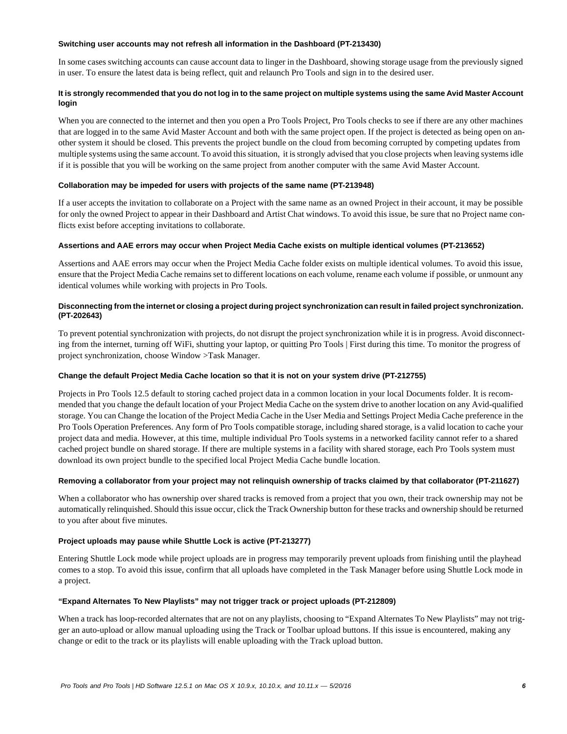#### **Switching user accounts may not refresh all information in the Dashboard (PT-213430)**

In some cases switching accounts can cause account data to linger in the Dashboard, showing storage usage from the previously signed in user. To ensure the latest data is being reflect, quit and relaunch Pro Tools and sign in to the desired user.

# **It is strongly recommended that you do not log in to the same project on multiple systems using the same Avid Master Account login**

When you are connected to the internet and then you open a Pro Tools Project, Pro Tools checks to see if there are any other machines that are logged in to the same Avid Master Account and both with the same project open. If the project is detected as being open on another system it should be closed. This prevents the project bundle on the cloud from becoming corrupted by competing updates from multiple systems using the same account. To avoid this situation, it is strongly advised that you close projects when leaving systems idle if it is possible that you will be working on the same project from another computer with the same Avid Master Account.

#### **Collaboration may be impeded for users with projects of the same name (PT-213948)**

If a user accepts the invitation to collaborate on a Project with the same name as an owned Project in their account, it may be possible for only the owned Project to appear in their Dashboard and Artist Chat windows. To avoid this issue, be sure that no Project name conflicts exist before accepting invitations to collaborate.

#### **Assertions and AAE errors may occur when Project Media Cache exists on multiple identical volumes (PT-213652)**

Assertions and AAE errors may occur when the Project Media Cache folder exists on multiple identical volumes. To avoid this issue, ensure that the Project Media Cache remains set to different locations on each volume, rename each volume if possible, or unmount any identical volumes while working with projects in Pro Tools.

# **Disconnecting from the internet or closing a project during project synchronization can result in failed project synchronization. (PT-202643)**

To prevent potential synchronization with projects, do not disrupt the project synchronization while it is in progress. Avoid disconnecting from the internet, turning off WiFi, shutting your laptop, or quitting Pro Tools | First during this time. To monitor the progress of project synchronization, choose Window >Task Manager.

# **Change the default Project Media Cache location so that it is not on your system drive (PT-212755)**

Projects in Pro Tools 12.5 default to storing cached project data in a common location in your local Documents folder. It is recommended that you change the default location of your Project Media Cache on the system drive to another location on any Avid-qualified storage. You can Change the location of the Project Media Cache in the User Media and Settings Project Media Cache preference in the Pro Tools Operation Preferences. Any form of Pro Tools compatible storage, including shared storage, is a valid location to cache your project data and media. However, at this time, multiple individual Pro Tools systems in a networked facility cannot refer to a shared cached project bundle on shared storage. If there are multiple systems in a facility with shared storage, each Pro Tools system must download its own project bundle to the specified local Project Media Cache bundle location.

# **Removing a collaborator from your project may not relinquish ownership of tracks claimed by that collaborator (PT-211627)**

When a collaborator who has ownership over shared tracks is removed from a project that you own, their track ownership may not be automatically relinquished. Should this issue occur, click the Track Ownership button for these tracks and ownership should be returned to you after about five minutes.

# **Project uploads may pause while Shuttle Lock is active (PT-213277)**

Entering Shuttle Lock mode while project uploads are in progress may temporarily prevent uploads from finishing until the playhead comes to a stop. To avoid this issue, confirm that all uploads have completed in the Task Manager before using Shuttle Lock mode in a project.

# **"Expand Alternates To New Playlists" may not trigger track or project uploads (PT-212809)**

When a track has loop-recorded alternates that are not on any playlists, choosing to "Expand Alternates To New Playlists" may not trigger an auto-upload or allow manual uploading using the Track or Toolbar upload buttons. If this issue is encountered, making any change or edit to the track or its playlists will enable uploading with the Track upload button.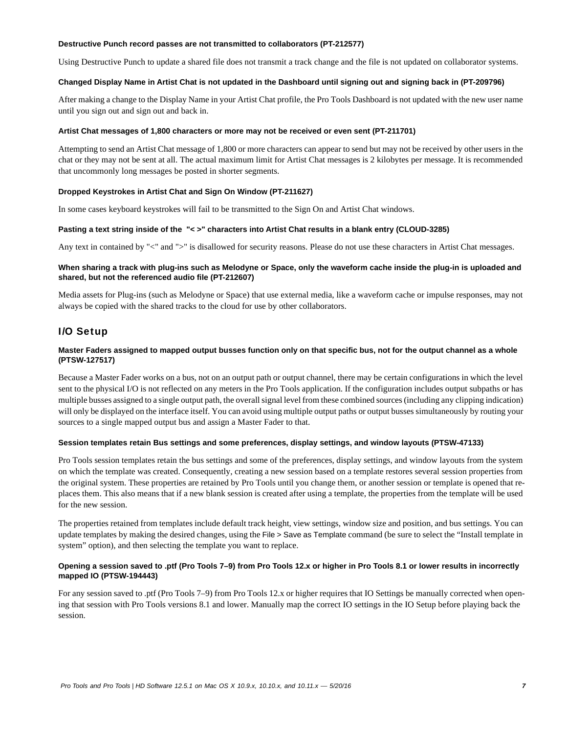#### **Destructive Punch record passes are not transmitted to collaborators (PT-212577)**

Using Destructive Punch to update a shared file does not transmit a track change and the file is not updated on collaborator systems.

### **Changed Display Name in Artist Chat is not updated in the Dashboard until signing out and signing back in (PT-209796)**

After making a change to the Display Name in your Artist Chat profile, the Pro Tools Dashboard is not updated with the new user name until you sign out and sign out and back in.

#### **Artist Chat messages of 1,800 characters or more may not be received or even sent (PT-211701)**

Attempting to send an Artist Chat message of 1,800 or more characters can appear to send but may not be received by other users in the chat or they may not be sent at all. The actual maximum limit for Artist Chat messages is 2 kilobytes per message. It is recommended that uncommonly long messages be posted in shorter segments.

# **Dropped Keystrokes in Artist Chat and Sign On Window (PT-211627)**

In some cases keyboard keystrokes will fail to be transmitted to the Sign On and Artist Chat windows.

#### **Pasting a text string inside of the "< >" characters into Artist Chat results in a blank entry (CLOUD-3285)**

Any text in contained by "<" and ">" is disallowed for security reasons. Please do not use these characters in Artist Chat messages.

### **When sharing a track with plug-ins such as Melodyne or Space, only the waveform cache inside the plug-in is uploaded and shared, but not the referenced audio file (PT-212607)**

Media assets for Plug-ins (such as Melodyne or Space) that use external media, like a waveform cache or impulse responses, may not always be copied with the shared tracks to the cloud for use by other collaborators.

# I/O Setup

# **Master Faders assigned to mapped output busses function only on that specific bus, not for the output channel as a whole (PTSW-127517)**

Because a Master Fader works on a bus, not on an output path or output channel, there may be certain configurations in which the level sent to the physical I/O is not reflected on any meters in the Pro Tools application. If the configuration includes output subpaths or has multiple busses assigned to a single output path, the overall signal level from these combined sources (including any clipping indication) will only be displayed on the interface itself. You can avoid using multiple output paths or output busses simultaneously by routing your sources to a single mapped output bus and assign a Master Fader to that.

#### **Session templates retain Bus settings and some preferences, display settings, and window layouts (PTSW-47133)**

Pro Tools session templates retain the bus settings and some of the preferences, display settings, and window layouts from the system on which the template was created. Consequently, creating a new session based on a template restores several session properties from the original system. These properties are retained by Pro Tools until you change them, or another session or template is opened that replaces them. This also means that if a new blank session is created after using a template, the properties from the template will be used for the new session.

The properties retained from templates include default track height, view settings, window size and position, and bus settings. You can update templates by making the desired changes, using the File > Save as Template command (be sure to select the "Install template in system" option), and then selecting the template you want to replace.

### **Opening a session saved to .ptf (Pro Tools 7–9) from Pro Tools 12.x or higher in Pro Tools 8.1 or lower results in incorrectly mapped IO (PTSW-194443)**

For any session saved to .ptf (Pro Tools 7–9) from Pro Tools 12.x or higher requires that IO Settings be manually corrected when opening that session with Pro Tools versions 8.1 and lower. Manually map the correct IO settings in the IO Setup before playing back the session.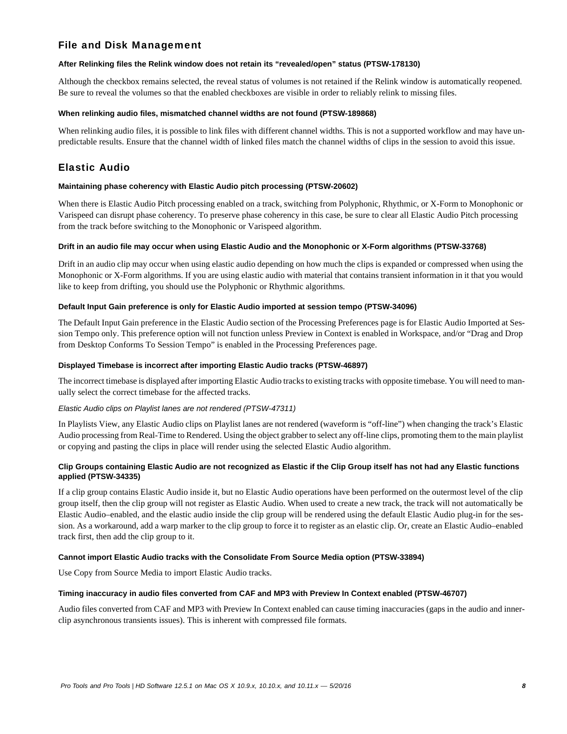# File and Disk Management

#### **After Relinking files the Relink window does not retain its "revealed/open" status (PTSW-178130)**

Although the checkbox remains selected, the reveal status of volumes is not retained if the Relink window is automatically reopened. Be sure to reveal the volumes so that the enabled checkboxes are visible in order to reliably relink to missing files.

#### **When relinking audio files, mismatched channel widths are not found (PTSW-189868)**

When relinking audio files, it is possible to link files with different channel widths. This is not a supported workflow and may have unpredictable results. Ensure that the channel width of linked files match the channel widths of clips in the session to avoid this issue.

# Elastic Audio

#### **Maintaining phase coherency with Elastic Audio pitch processing (PTSW-20602)**

When there is Elastic Audio Pitch processing enabled on a track, switching from Polyphonic, Rhythmic, or X-Form to Monophonic or Varispeed can disrupt phase coherency. To preserve phase coherency in this case, be sure to clear all Elastic Audio Pitch processing from the track before switching to the Monophonic or Varispeed algorithm.

#### **Drift in an audio file may occur when using Elastic Audio and the Monophonic or X-Form algorithms (PTSW-33768)**

Drift in an audio clip may occur when using elastic audio depending on how much the clips is expanded or compressed when using the Monophonic or X-Form algorithms. If you are using elastic audio with material that contains transient information in it that you would like to keep from drifting, you should use the Polyphonic or Rhythmic algorithms.

#### **Default Input Gain preference is only for Elastic Audio imported at session tempo (PTSW-34096)**

The Default Input Gain preference in the Elastic Audio section of the Processing Preferences page is for Elastic Audio Imported at Session Tempo only. This preference option will not function unless Preview in Context is enabled in Workspace, and/or "Drag and Drop from Desktop Conforms To Session Tempo" is enabled in the Processing Preferences page.

#### **Displayed Timebase is incorrect after importing Elastic Audio tracks (PTSW-46897)**

The incorrect timebase is displayed after importing Elastic Audio tracks to existing tracks with opposite timebase. You will need to manually select the correct timebase for the affected tracks.

# *Elastic Audio clips on Playlist lanes are not rendered (PTSW-47311)*

In Playlists View, any Elastic Audio clips on Playlist lanes are not rendered (waveform is "off-line") when changing the track's Elastic Audio processing from Real-Time to Rendered. Using the object grabber to select any off-line clips, promoting them to the main playlist or copying and pasting the clips in place will render using the selected Elastic Audio algorithm.

# **Clip Groups containing Elastic Audio are not recognized as Elastic if the Clip Group itself has not had any Elastic functions applied (PTSW-34335)**

If a clip group contains Elastic Audio inside it, but no Elastic Audio operations have been performed on the outermost level of the clip group itself, then the clip group will not register as Elastic Audio. When used to create a new track, the track will not automatically be Elastic Audio–enabled, and the elastic audio inside the clip group will be rendered using the default Elastic Audio plug-in for the session. As a workaround, add a warp marker to the clip group to force it to register as an elastic clip. Or, create an Elastic Audio–enabled track first, then add the clip group to it.

#### **Cannot import Elastic Audio tracks with the Consolidate From Source Media option (PTSW-33894)**

Use Copy from Source Media to import Elastic Audio tracks.

#### **Timing inaccuracy in audio files converted from CAF and MP3 with Preview In Context enabled (PTSW-46707)**

Audio files converted from CAF and MP3 with Preview In Context enabled can cause timing inaccuracies (gaps in the audio and innerclip asynchronous transients issues). This is inherent with compressed file formats.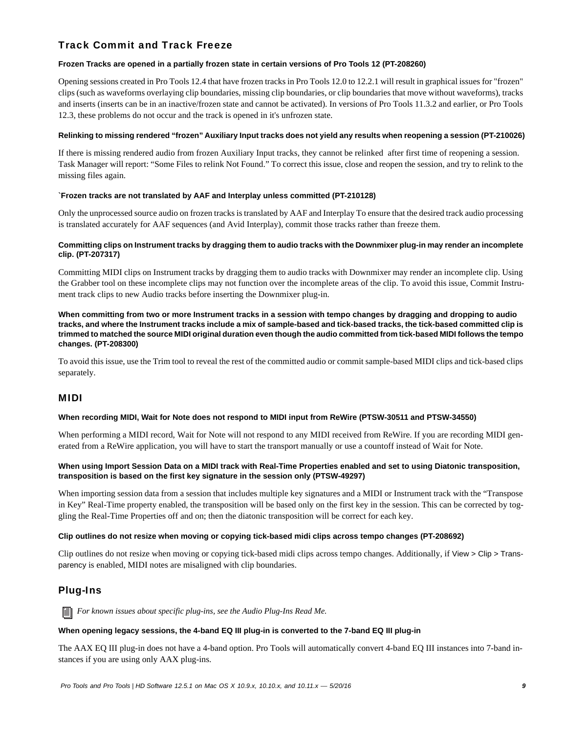# Track Commit and Track Freeze

# **Frozen Tracks are opened in a partially frozen state in certain versions of Pro Tools 12 (PT-208260)**

Opening sessions created in Pro Tools 12.4 that have frozen tracks in Pro Tools 12.0 to 12.2.1 will result in graphical issues for "frozen" clips (such as waveforms overlaying clip boundaries, missing clip boundaries, or clip boundaries that move without waveforms), tracks and inserts (inserts can be in an inactive/frozen state and cannot be activated). In versions of Pro Tools 11.3.2 and earlier, or Pro Tools 12.3, these problems do not occur and the track is opened in it's unfrozen state.

### **Relinking to missing rendered "frozen" Auxiliary Input tracks does not yield any results when reopening a session (PT-210026)**

If there is missing rendered audio from frozen Auxiliary Input tracks, they cannot be relinked after first time of reopening a session. Task Manager will report: "Some Files to relink Not Found." To correct this issue, close and reopen the session, and try to relink to the missing files again.

# **`Frozen tracks are not translated by AAF and Interplay unless committed (PT-210128)**

Only the unprocessed source audio on frozen tracks is translated by AAF and Interplay To ensure that the desired track audio processing is translated accurately for AAF sequences (and Avid Interplay), commit those tracks rather than freeze them.

# **Committing clips on Instrument tracks by dragging them to audio tracks with the Downmixer plug-in may render an incomplete clip. (PT-207317)**

Committing MIDI clips on Instrument tracks by dragging them to audio tracks with Downmixer may render an incomplete clip. Using the Grabber tool on these incomplete clips may not function over the incomplete areas of the clip. To avoid this issue, Commit Instrument track clips to new Audio tracks before inserting the Downmixer plug-in.

**When committing from two or more Instrument tracks in a session with tempo changes by dragging and dropping to audio tracks, and where the Instrument tracks include a mix of sample-based and tick-based tracks, the tick-based committed clip is trimmed to matched the source MIDI original duration even though the audio committed from tick-based MIDI follows the tempo changes. (PT-208300)**

To avoid this issue, use the Trim tool to reveal the rest of the committed audio or commit sample-based MIDI clips and tick-based clips separately.

# MIDI

# **When recording MIDI, Wait for Note does not respond to MIDI input from ReWire (PTSW-30511 and PTSW-34550)**

When performing a MIDI record, Wait for Note will not respond to any MIDI received from ReWire. If you are recording MIDI generated from a ReWire application, you will have to start the transport manually or use a countoff instead of Wait for Note.

# **When using Import Session Data on a MIDI track with Real-Time Properties enabled and set to using Diatonic transposition, transposition is based on the first key signature in the session only (PTSW-49297)**

When importing session data from a session that includes multiple key signatures and a MIDI or Instrument track with the "Transpose in Key" Real-Time property enabled, the transposition will be based only on the first key in the session. This can be corrected by toggling the Real-Time Properties off and on; then the diatonic transposition will be correct for each key.

# **Clip outlines do not resize when moving or copying tick-based midi clips across tempo changes (PT-208692)**

Clip outlines do not resize when moving or copying tick-based midi clips across tempo changes. Additionally, if View > Clip > Transparency is enabled, MIDI notes are misaligned with clip boundaries.

# Plug-Ins

*For known issues about specific plug-ins, see the Audio Plug-Ins Read Me.*

# **When opening legacy sessions, the 4-band EQ III plug-in is converted to the 7-band EQ III plug-in**

The AAX EQ III plug-in does not have a 4-band option. Pro Tools will automatically convert 4-band EQ III instances into 7-band instances if you are using only AAX plug-ins.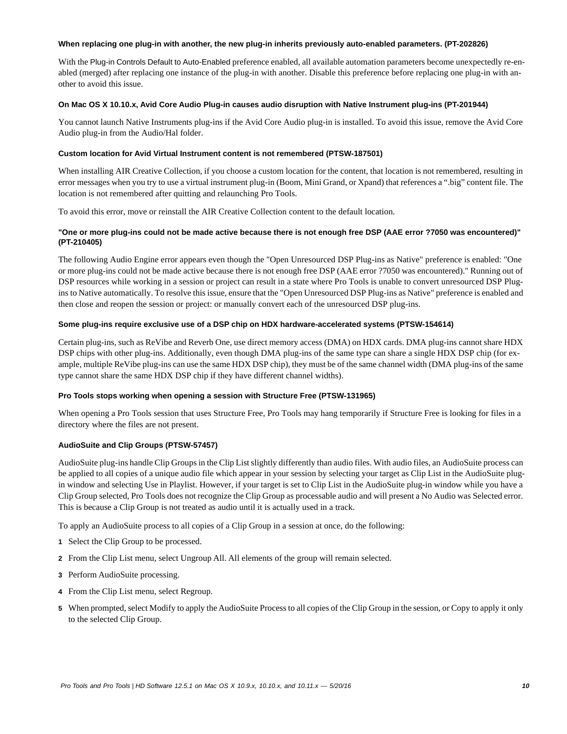#### **When replacing one plug-in with another, the new plug-in inherits previously auto-enabled parameters. (PT-202826)**

With the Plug-in Controls Default to Auto-Enabled preference enabled, all available automation parameters become unexpectedly re-enabled (merged) after replacing one instance of the plug-in with another. Disable this preference before replacing one plug-in with another to avoid this issue.

#### **On Mac OS X 10.10.x, Avid Core Audio Plug-in causes audio disruption with Native Instrument plug-ins (PT-201944)**

You cannot launch Native Instruments plug-ins if the Avid Core Audio plug-in is installed. To avoid this issue, remove the Avid Core Audio plug-in from the Audio/Hal folder.

### **Custom location for Avid Virtual Instrument content is not remembered (PTSW-187501)**

When installing AIR Creative Collection, if you choose a custom location for the content, that location is not remembered, resulting in error messages when you try to use a virtual instrument plug-in (Boom, Mini Grand, or Xpand) that references a ".big" content file. The location is not remembered after quitting and relaunching Pro Tools.

To avoid this error, move or reinstall the AIR Creative Collection content to the default location.

# **"One or more plug-ins could not be made active because there is not enough free DSP (AAE error ?7050 was encountered)" (PT-210405)**

The following Audio Engine error appears even though the "Open Unresourced DSP Plug-ins as Native" preference is enabled: "One or more plug-ins could not be made active because there is not enough free DSP (AAE error ?7050 was encountered)." Running out of DSP resources while working in a session or project can result in a state where Pro Tools is unable to convert unresourced DSP Plugins to Native automatically. To resolve this issue, ensure that the "Open Unresourced DSP Plug-ins as Native" preference is enabled and then close and reopen the session or project: or manually convert each of the unresourced DSP plug-ins.

#### **Some plug-ins require exclusive use of a DSP chip on HDX hardware-accelerated systems (PTSW-154614)**

Certain plug-ins, such as ReVibe and Reverb One, use direct memory access (DMA) on HDX cards. DMA plug-ins cannot share HDX DSP chips with other plug-ins. Additionally, even though DMA plug-ins of the same type can share a single HDX DSP chip (for example, multiple ReVibe plug-ins can use the same HDX DSP chip), they must be of the same channel width (DMA plug-ins of the same type cannot share the same HDX DSP chip if they have different channel widths).

# **Pro Tools stops working when opening a session with Structure Free (PTSW-131965)**

When opening a Pro Tools session that uses Structure Free, Pro Tools may hang temporarily if Structure Free is looking for files in a directory where the files are not present.

# **AudioSuite and Clip Groups (PTSW-57457)**

AudioSuite plug-ins handle Clip Groups in the Clip List slightly differently than audio files. With audio files, an AudioSuite process can be applied to all copies of a unique audio file which appear in your session by selecting your target as Clip List in the AudioSuite plugin window and selecting Use in Playlist. However, if your target is set to Clip List in the AudioSuite plug-in window while you have a Clip Group selected, Pro Tools does not recognize the Clip Group as processable audio and will present a No Audio was Selected error. This is because a Clip Group is not treated as audio until it is actually used in a track.

To apply an AudioSuite process to all copies of a Clip Group in a session at once, do the following:

- **1** Select the Clip Group to be processed.
- **2** From the Clip List menu, select Ungroup All. All elements of the group will remain selected.
- **3** Perform AudioSuite processing.
- **4** From the Clip List menu, select Regroup.
- **5** When prompted, select Modify to apply the AudioSuite Process to all copies of the Clip Group in the session, or Copy to apply it only to the selected Clip Group.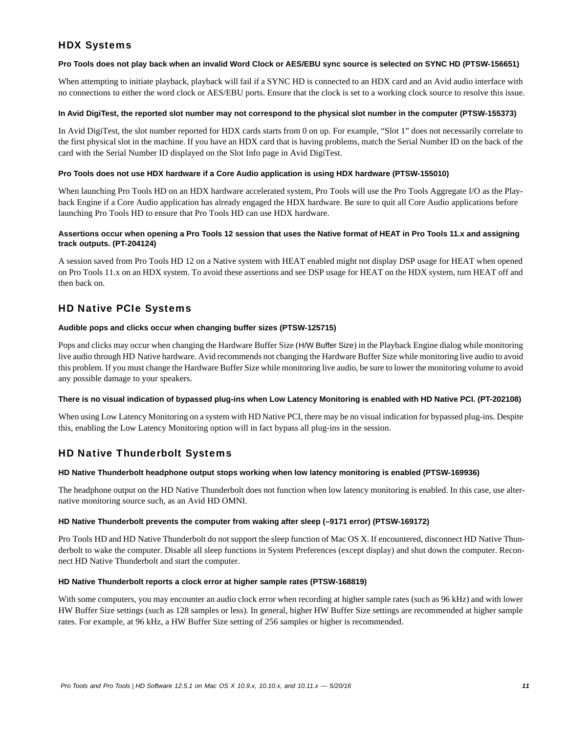# HDX Systems

### **Pro Tools does not play back when an invalid Word Clock or AES/EBU sync source is selected on SYNC HD (PTSW-156651)**

When attempting to initiate playback, playback will fail if a SYNC HD is connected to an HDX card and an Avid audio interface with no connections to either the word clock or AES/EBU ports. Ensure that the clock is set to a working clock source to resolve this issue.

### **In Avid DigiTest, the reported slot number may not correspond to the physical slot number in the computer (PTSW-155373)**

In Avid DigiTest, the slot number reported for HDX cards starts from 0 on up. For example, "Slot 1" does not necessarily correlate to the first physical slot in the machine. If you have an HDX card that is having problems, match the Serial Number ID on the back of the card with the Serial Number ID displayed on the Slot Info page in Avid DigiTest.

### **Pro Tools does not use HDX hardware if a Core Audio application is using HDX hardware (PTSW-155010)**

When launching Pro Tools HD on an HDX hardware accelerated system, Pro Tools will use the Pro Tools Aggregate I/O as the Playback Engine if a Core Audio application has already engaged the HDX hardware. Be sure to quit all Core Audio applications before launching Pro Tools HD to ensure that Pro Tools HD can use HDX hardware.

# **Assertions occur when opening a Pro Tools 12 session that uses the Native format of HEAT in Pro Tools 11.x and assigning track outputs. (PT-204124)**

A session saved from Pro Tools HD 12 on a Native system with HEAT enabled might not display DSP usage for HEAT when opened on Pro Tools 11.x on an HDX system. To avoid these assertions and see DSP usage for HEAT on the HDX system, turn HEAT off and then back on.

# HD Native PCIe Systems

#### **Audible pops and clicks occur when changing buffer sizes (PTSW-125715)**

Pops and clicks may occur when changing the Hardware Buffer Size (H/W Buffer Size) in the Playback Engine dialog while monitoring live audio through HD Native hardware. Avid recommends not changing the Hardware Buffer Size while monitoring live audio to avoid this problem. If you must change the Hardware Buffer Size while monitoring live audio, be sure to lower the monitoring volume to avoid any possible damage to your speakers.

# **There is no visual indication of bypassed plug-ins when Low Latency Monitoring is enabled with HD Native PCI. (PT-202108)**

When using Low Latency Monitoring on a system with HD Native PCI, there may be no visual indication for bypassed plug-ins. Despite this, enabling the Low Latency Monitoring option will in fact bypass all plug-ins in the session.

# HD Native Thunderbolt Systems

# **HD Native Thunderbolt headphone output stops working when low latency monitoring is enabled (PTSW-169936)**

The headphone output on the HD Native Thunderbolt does not function when low latency monitoring is enabled. In this case, use alternative monitoring source such, as an Avid HD OMNI.

# **HD Native Thunderbolt prevents the computer from waking after sleep (–9171 error) (PTSW-169172)**

Pro Tools HD and HD Native Thunderbolt do not support the sleep function of Mac OS X. If encountered, disconnect HD Native Thunderbolt to wake the computer. Disable all sleep functions in System Preferences (except display) and shut down the computer. Reconnect HD Native Thunderbolt and start the computer.

#### **HD Native Thunderbolt reports a clock error at higher sample rates (PTSW-168819)**

With some computers, you may encounter an audio clock error when recording at higher sample rates (such as 96 kHz) and with lower HW Buffer Size settings (such as 128 samples or less). In general, higher HW Buffer Size settings are recommended at higher sample rates. For example, at 96 kHz, a HW Buffer Size setting of 256 samples or higher is recommended.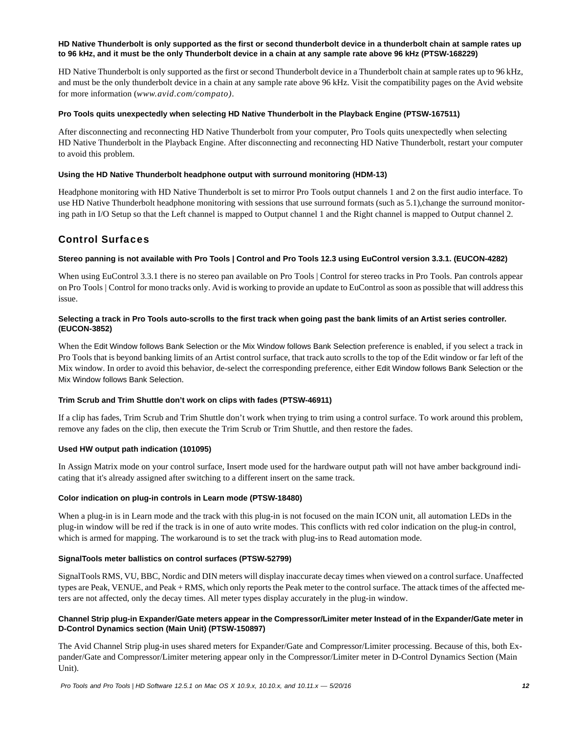### **HD Native Thunderbolt is only supported as the first or second thunderbolt device in a thunderbolt chain at sample rates up to 96 kHz, and it must be the only Thunderbolt device in a chain at any sample rate above 96 kHz (PTSW-168229)**

HD Native Thunderbolt is only supported as the first or second Thunderbolt device in a Thunderbolt chain at sample rates up to 96 kHz, and must be the only thunderbolt device in a chain at any sample rate above 96 kHz. Visit the compatibility pages on the Avid website for more information (*www.avid.com/compato)*.

#### **Pro Tools quits unexpectedly when selecting HD Native Thunderbolt in the Playback Engine (PTSW-167511)**

After disconnecting and reconnecting HD Native Thunderbolt from your computer, Pro Tools quits unexpectedly when selecting HD Native Thunderbolt in the Playback Engine. After disconnecting and reconnecting HD Native Thunderbolt, restart your computer to avoid this problem.

#### **Using the HD Native Thunderbolt headphone output with surround monitoring (HDM-13)**

Headphone monitoring with HD Native Thunderbolt is set to mirror Pro Tools output channels 1 and 2 on the first audio interface. To use HD Native Thunderbolt headphone monitoring with sessions that use surround formats (such as 5.1), change the surround monitoring path in I/O Setup so that the Left channel is mapped to Output channel 1 and the Right channel is mapped to Output channel 2.

# Control Surfaces

#### **Stereo panning is not available with Pro Tools | Control and Pro Tools 12.3 using EuControl version 3.3.1. (EUCON-4282)**

When using EuControl 3.3.1 there is no stereo pan available on Pro Tools | Control for stereo tracks in Pro Tools. Pan controls appear on Pro Tools | Control for mono tracks only. Avid is working to provide an update to EuControl as soon as possible that will address this issue.

#### **Selecting a track in Pro Tools auto-scrolls to the first track when going past the bank limits of an Artist series controller. (EUCON-3852)**

When the Edit Window follows Bank Selection or the Mix Window follows Bank Selection preference is enabled, if you select a track in Pro Tools that is beyond banking limits of an Artist control surface, that track auto scrolls to the top of the Edit window or far left of the Mix window. In order to avoid this behavior, de-select the corresponding preference, either Edit Window follows Bank Selection or the Mix Window follows Bank Selection.

#### **Trim Scrub and Trim Shuttle don't work on clips with fades (PTSW-46911)**

If a clip has fades, Trim Scrub and Trim Shuttle don't work when trying to trim using a control surface. To work around this problem, remove any fades on the clip, then execute the Trim Scrub or Trim Shuttle, and then restore the fades.

# **Used HW output path indication (101095)**

In Assign Matrix mode on your control surface, Insert mode used for the hardware output path will not have amber background indicating that it's already assigned after switching to a different insert on the same track.

#### **Color indication on plug-in controls in Learn mode (PTSW-18480)**

When a plug-in is in Learn mode and the track with this plug-in is not focused on the main ICON unit, all automation LEDs in the plug-in window will be red if the track is in one of auto write modes. This conflicts with red color indication on the plug-in control, which is armed for mapping. The workaround is to set the track with plug-ins to Read automation mode.

#### **SignalTools meter ballistics on control surfaces (PTSW-52799)**

SignalTools RMS, VU, BBC, Nordic and DIN meters will display inaccurate decay times when viewed on a control surface. Unaffected types are Peak, VENUE, and Peak + RMS, which only reports the Peak meter to the control surface. The attack times of the affected meters are not affected, only the decay times. All meter types display accurately in the plug-in window.

#### **Channel Strip plug-in Expander/Gate meters appear in the Compressor/Limiter meter Instead of in the Expander/Gate meter in D-Control Dynamics section (Main Unit) (PTSW-150897)**

The Avid Channel Strip plug-in uses shared meters for Expander/Gate and Compressor/Limiter processing. Because of this, both Expander/Gate and Compressor/Limiter metering appear only in the Compressor/Limiter meter in D-Control Dynamics Section (Main Unit).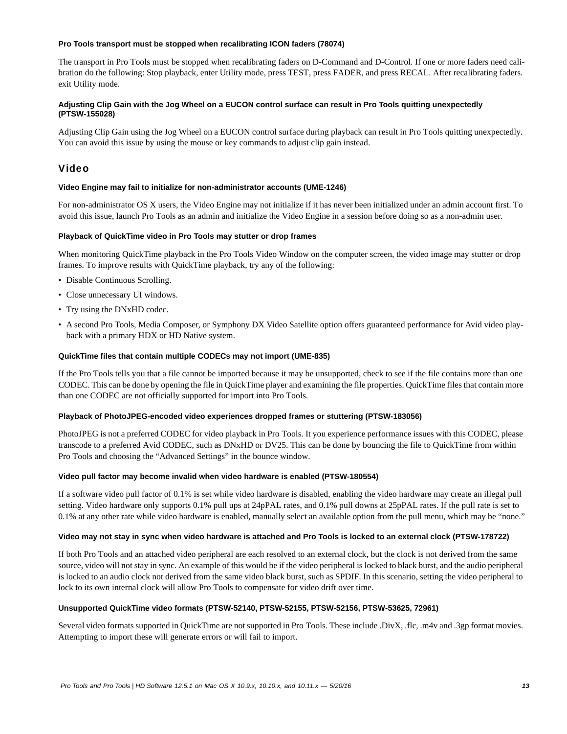#### **Pro Tools transport must be stopped when recalibrating ICON faders (78074)**

The transport in Pro Tools must be stopped when recalibrating faders on D-Command and D-Control. If one or more faders need calibration do the following: Stop playback, enter Utility mode, press TEST, press FADER, and press RECAL. After recalibrating faders. exit Utility mode.

# **Adjusting Clip Gain with the Jog Wheel on a EUCON control surface can result in Pro Tools quitting unexpectedly (PTSW-155028)**

Adjusting Clip Gain using the Jog Wheel on a EUCON control surface during playback can result in Pro Tools quitting unexpectedly. You can avoid this issue by using the mouse or key commands to adjust clip gain instead.

# Video

### **Video Engine may fail to initialize for non-administrator accounts (UME-1246)**

For non-administrator OS X users, the Video Engine may not initialize if it has never been initialized under an admin account first. To avoid this issue, launch Pro Tools as an admin and initialize the Video Engine in a session before doing so as a non-admin user.

#### **Playback of QuickTime video in Pro Tools may stutter or drop frames**

When monitoring QuickTime playback in the Pro Tools Video Window on the computer screen, the video image may stutter or drop frames. To improve results with QuickTime playback, try any of the following:

- Disable Continuous Scrolling.
- Close unnecessary UI windows.
- Try using the DNxHD codec.
- A second Pro Tools, Media Composer, or Symphony DX Video Satellite option offers guaranteed performance for Avid video playback with a primary HDX or HD Native system.

#### **QuickTime files that contain multiple CODECs may not import (UME-835)**

If the Pro Tools tells you that a file cannot be imported because it may be unsupported, check to see if the file contains more than one CODEC. This can be done by opening the file in QuickTime player and examining the file properties. QuickTime files that contain more than one CODEC are not officially supported for import into Pro Tools.

#### **Playback of PhotoJPEG-encoded video experiences dropped frames or stuttering (PTSW-183056)**

PhotoJPEG is not a preferred CODEC for video playback in Pro Tools. It you experience performance issues with this CODEC, please transcode to a preferred Avid CODEC, such as DNxHD or DV25. This can be done by bouncing the file to QuickTime from within Pro Tools and choosing the "Advanced Settings" in the bounce window.

#### **Video pull factor may become invalid when video hardware is enabled (PTSW-180554)**

If a software video pull factor of 0.1% is set while video hardware is disabled, enabling the video hardware may create an illegal pull setting. Video hardware only supports 0.1% pull ups at 24pPAL rates, and 0.1% pull downs at 25pPAL rates. If the pull rate is set to 0.1% at any other rate while video hardware is enabled, manually select an available option from the pull menu, which may be "none."

#### **Video may not stay in sync when video hardware is attached and Pro Tools is locked to an external clock (PTSW-178722)**

If both Pro Tools and an attached video peripheral are each resolved to an external clock, but the clock is not derived from the same source, video will not stay in sync. An example of this would be if the video peripheral is locked to black burst, and the audio peripheral is locked to an audio clock not derived from the same video black burst, such as SPDIF. In this scenario, setting the video peripheral to lock to its own internal clock will allow Pro Tools to compensate for video drift over time.

# **Unsupported QuickTime video formats (PTSW-52140, PTSW-52155, PTSW-52156, PTSW-53625, 72961)**

Several video formats supported in QuickTime are not supported in Pro Tools. These include .DivX, .flc, .m4v and .3gp format movies. Attempting to import these will generate errors or will fail to import.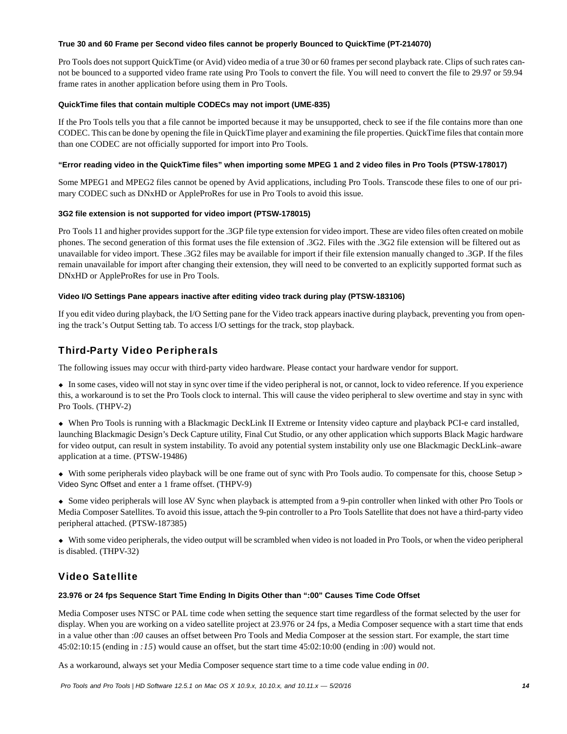#### **True 30 and 60 Frame per Second video files cannot be properly Bounced to QuickTime (PT-214070)**

Pro Tools does not support QuickTime (or Avid) video media of a true 30 or 60 frames per second playback rate. Clips of such rates cannot be bounced to a supported video frame rate using Pro Tools to convert the file. You will need to convert the file to 29.97 or 59.94 frame rates in another application before using them in Pro Tools.

# **QuickTime files that contain multiple CODECs may not import (UME-835)**

If the Pro Tools tells you that a file cannot be imported because it may be unsupported, check to see if the file contains more than one CODEC. This can be done by opening the file in QuickTime player and examining the file properties. QuickTime files that contain more than one CODEC are not officially supported for import into Pro Tools.

# **"Error reading video in the QuickTime files" when importing some MPEG 1 and 2 video files in Pro Tools (PTSW-178017)**

Some MPEG1 and MPEG2 files cannot be opened by Avid applications, including Pro Tools. Transcode these files to one of our primary CODEC such as DNxHD or AppleProRes for use in Pro Tools to avoid this issue.

# **3G2 file extension is not supported for video import (PTSW-178015)**

Pro Tools 11 and higher provides support for the .3GP file type extension for video import. These are video files often created on mobile phones. The second generation of this format uses the file extension of .3G2. Files with the .3G2 file extension will be filtered out as unavailable for video import. These .3G2 files may be available for import if their file extension manually changed to .3GP. If the files remain unavailable for import after changing their extension, they will need to be converted to an explicitly supported format such as DNxHD or AppleProRes for use in Pro Tools.

# **Video I/O Settings Pane appears inactive after editing video track during play (PTSW-183106)**

If you edit video during playback, the I/O Setting pane for the Video track appears inactive during playback, preventing you from opening the track's Output Setting tab. To access I/O settings for the track, stop playback.

# Third-Party Video Peripherals

The following issues may occur with third-party video hardware. Please contact your hardware vendor for support.

 In some cases, video will not stay in sync over time if the video peripheral is not, or cannot, lock to video reference. If you experience this, a workaround is to set the Pro Tools clock to internal. This will cause the video peripheral to slew overtime and stay in sync with Pro Tools. (THPV-2)

 When Pro Tools is running with a Blackmagic DeckLink II Extreme or Intensity video capture and playback PCI-e card installed, launching Blackmagic Design's Deck Capture utility, Final Cut Studio, or any other application which supports Black Magic hardware for video output, can result in system instability. To avoid any potential system instability only use one Blackmagic DeckLink–aware application at a time. (PTSW-19486)

 With some peripherals video playback will be one frame out of sync with Pro Tools audio. To compensate for this, choose Setup > Video Sync Offset and enter a 1 frame offset. (THPV-9)

 Some video peripherals will lose AV Sync when playback is attempted from a 9-pin controller when linked with other Pro Tools or Media Composer Satellites. To avoid this issue, attach the 9-pin controller to a Pro Tools Satellite that does not have a third-party video peripheral attached. (PTSW-187385)

 With some video peripherals, the video output will be scrambled when video is not loaded in Pro Tools, or when the video peripheral is disabled. (THPV-32)

# Video Satellite

# **23.976 or 24 fps Sequence Start Time Ending In Digits Other than ":00" Causes Time Code Offset**

Media Composer uses NTSC or PAL time code when setting the sequence start time regardless of the format selected by the user for display. When you are working on a video satellite project at 23.976 or 24 fps, a Media Composer sequence with a start time that ends in a value other than :*00* causes an offset between Pro Tools and Media Composer at the session start. For example, the start time 45:02:10:15 (ending in *:15*) would cause an offset, but the start time 45:02:10:00 (ending in :*00*) would not.

As a workaround, always set your Media Composer sequence start time to a time code value ending in *00*.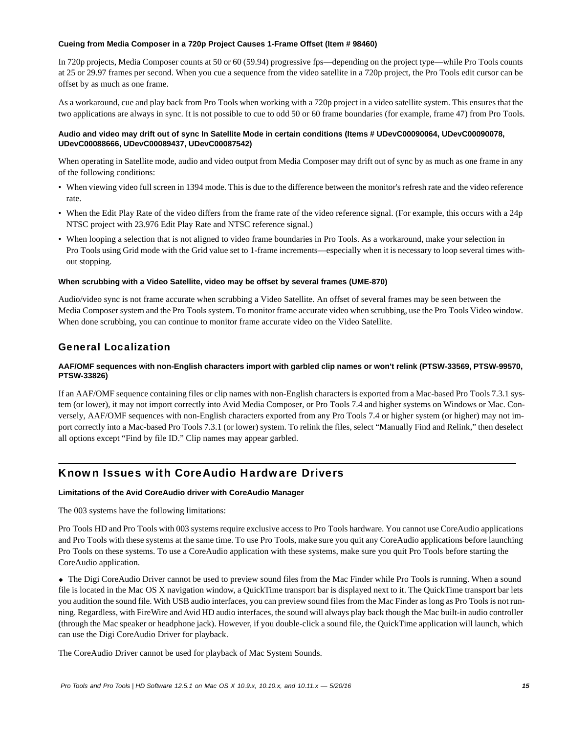### **Cueing from Media Composer in a 720p Project Causes 1-Frame Offset (Item # 98460)**

In 720p projects, Media Composer counts at 50 or 60 (59.94) progressive fps—depending on the project type—while Pro Tools counts at 25 or 29.97 frames per second. When you cue a sequence from the video satellite in a 720p project, the Pro Tools edit cursor can be offset by as much as one frame.

As a workaround, cue and play back from Pro Tools when working with a 720p project in a video satellite system. This ensures that the two applications are always in sync. It is not possible to cue to odd 50 or 60 frame boundaries (for example, frame 47) from Pro Tools.

### **Audio and video may drift out of sync In Satellite Mode in certain conditions (Items # UDevC00090064, UDevC00090078, UDevC00088666, UDevC00089437, UDevC00087542)**

When operating in Satellite mode, audio and video output from Media Composer may drift out of sync by as much as one frame in any of the following conditions:

- When viewing video full screen in 1394 mode. This is due to the difference between the monitor's refresh rate and the video reference rate.
- When the Edit Play Rate of the video differs from the frame rate of the video reference signal. (For example, this occurs with a 24p NTSC project with 23.976 Edit Play Rate and NTSC reference signal.)
- When looping a selection that is not aligned to video frame boundaries in Pro Tools. As a workaround, make your selection in Pro Tools using Grid mode with the Grid value set to 1-frame increments—especially when it is necessary to loop several times without stopping.

#### **When scrubbing with a Video Satellite, video may be offset by several frames (UME-870)**

Audio/video sync is not frame accurate when scrubbing a Video Satellite. An offset of several frames may be seen between the Media Composer system and the Pro Tools system. To monitor frame accurate video when scrubbing, use the Pro Tools Video window. When done scrubbing, you can continue to monitor frame accurate video on the Video Satellite.

# General Localization

# **AAF/OMF sequences with non-English characters import with garbled clip names or won't relink (PTSW-33569, PTSW-99570, PTSW-33826)**

If an AAF/OMF sequence containing files or clip names with non-English characters is exported from a Mac-based Pro Tools 7.3.1 system (or lower), it may not import correctly into Avid Media Composer, or Pro Tools 7.4 and higher systems on Windows or Mac. Conversely, AAF/OMF sequences with non-English characters exported from any Pro Tools 7.4 or higher system (or higher) may not import correctly into a Mac-based Pro Tools 7.3.1 (or lower) system. To relink the files, select "Manually Find and Relink," then deselect all options except "Find by file ID." Clip names may appear garbled.

# Known Issues with CoreAudio Hardware Drivers

# **Limitations of the Avid CoreAudio driver with CoreAudio Manager**

The 003 systems have the following limitations:

Pro Tools HD and Pro Tools with 003 systems require exclusive access to Pro Tools hardware. You cannot use CoreAudio applications and Pro Tools with these systems at the same time. To use Pro Tools, make sure you quit any CoreAudio applications before launching Pro Tools on these systems. To use a CoreAudio application with these systems, make sure you quit Pro Tools before starting the CoreAudio application.

 The Digi CoreAudio Driver cannot be used to preview sound files from the Mac Finder while Pro Tools is running. When a sound file is located in the Mac OS X navigation window, a QuickTime transport bar is displayed next to it. The QuickTime transport bar lets you audition the sound file. With USB audio interfaces, you can preview sound files from the Mac Finder as long as Pro Tools is not running. Regardless, with FireWire and Avid HD audio interfaces, the sound will always play back though the Mac built-in audio controller (through the Mac speaker or headphone jack). However, if you double-click a sound file, the QuickTime application will launch, which can use the Digi CoreAudio Driver for playback.

The CoreAudio Driver cannot be used for playback of Mac System Sounds.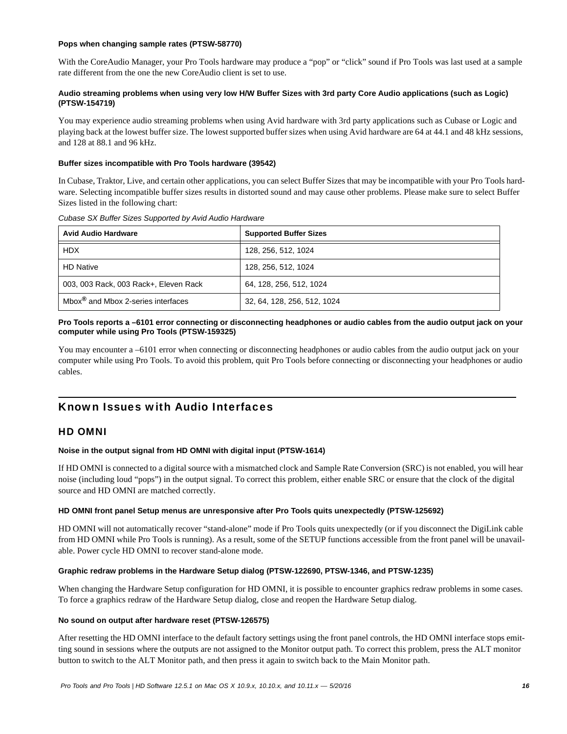#### **Pops when changing sample rates (PTSW-58770)**

With the CoreAudio Manager, your Pro Tools hardware may produce a "pop" or "click" sound if Pro Tools was last used at a sample rate different from the one the new CoreAudio client is set to use.

# **Audio streaming problems when using very low H/W Buffer Sizes with 3rd party Core Audio applications (such as Logic) (PTSW-154719)**

You may experience audio streaming problems when using Avid hardware with 3rd party applications such as Cubase or Logic and playing back at the lowest buffer size. The lowest supported buffer sizes when using Avid hardware are 64 at 44.1 and 48 kHz sessions, and 128 at 88.1 and 96 kHz.

# **Buffer sizes incompatible with Pro Tools hardware (39542)**

In Cubase, Traktor, Live, and certain other applications, you can select Buffer Sizes that may be incompatible with your Pro Tools hardware. Selecting incompatible buffer sizes results in distorted sound and may cause other problems. Please make sure to select Buffer Sizes listed in the following chart:

| <b>Avid Audio Hardware</b>                     | <b>Supported Buffer Sizes</b> |
|------------------------------------------------|-------------------------------|
| <b>HDX</b>                                     | 128, 256, 512, 1024           |
| <b>HD Native</b>                               | 128, 256, 512, 1024           |
| 003, 003 Rack, 003 Rack+, Eleven Rack          | 64, 128, 256, 512, 1024       |
| Mbox <sup>®</sup> and Mbox 2-series interfaces | 32, 64, 128, 256, 512, 1024   |

#### *Cubase SX Buffer Sizes Supported by Avid Audio Hardware*

# **Pro Tools reports a –6101 error connecting or disconnecting headphones or audio cables from the audio output jack on your computer while using Pro Tools (PTSW-159325)**

You may encounter a –6101 error when connecting or disconnecting headphones or audio cables from the audio output jack on your computer while using Pro Tools. To avoid this problem, quit Pro Tools before connecting or disconnecting your headphones or audio cables.

# Known Issues with Audio Interfaces

# HD OMNI

# **Noise in the output signal from HD OMNI with digital input (PTSW-1614)**

If HD OMNI is connected to a digital source with a mismatched clock and Sample Rate Conversion (SRC) is not enabled, you will hear noise (including loud "pops") in the output signal. To correct this problem, either enable SRC or ensure that the clock of the digital source and HD OMNI are matched correctly.

#### **HD OMNI front panel Setup menus are unresponsive after Pro Tools quits unexpectedly (PTSW-125692)**

HD OMNI will not automatically recover "stand-alone" mode if Pro Tools quits unexpectedly (or if you disconnect the DigiLink cable from HD OMNI while Pro Tools is running). As a result, some of the SETUP functions accessible from the front panel will be unavailable. Power cycle HD OMNI to recover stand-alone mode.

#### **Graphic redraw problems in the Hardware Setup dialog (PTSW-122690, PTSW-1346, and PTSW-1235)**

When changing the Hardware Setup configuration for HD OMNI, it is possible to encounter graphics redraw problems in some cases. To force a graphics redraw of the Hardware Setup dialog, close and reopen the Hardware Setup dialog.

#### **No sound on output after hardware reset (PTSW-126575)**

After resetting the HD OMNI interface to the default factory settings using the front panel controls, the HD OMNI interface stops emitting sound in sessions where the outputs are not assigned to the Monitor output path. To correct this problem, press the ALT monitor button to switch to the ALT Monitor path, and then press it again to switch back to the Main Monitor path.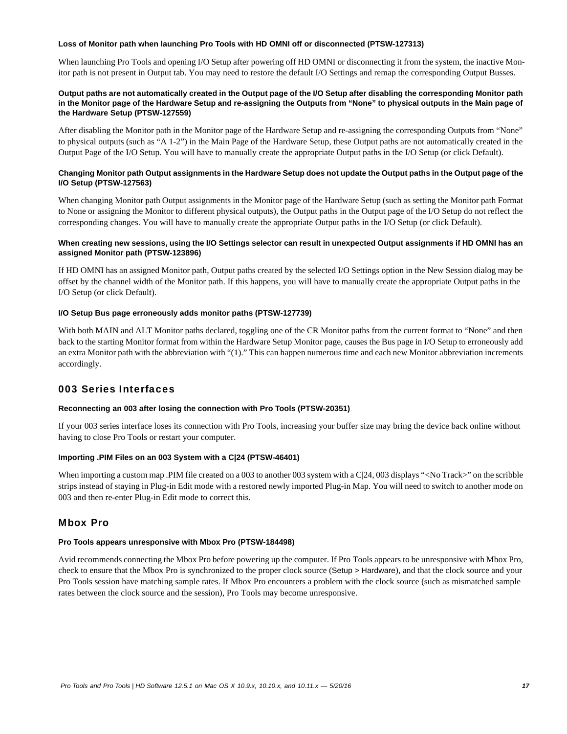#### **Loss of Monitor path when launching Pro Tools with HD OMNI off or disconnected (PTSW-127313)**

When launching Pro Tools and opening I/O Setup after powering off HD OMNI or disconnecting it from the system, the inactive Monitor path is not present in Output tab. You may need to restore the default I/O Settings and remap the corresponding Output Busses.

### **Output paths are not automatically created in the Output page of the I/O Setup after disabling the corresponding Monitor path in the Monitor page of the Hardware Setup and re-assigning the Outputs from "None" to physical outputs in the Main page of the Hardware Setup (PTSW-127559)**

After disabling the Monitor path in the Monitor page of the Hardware Setup and re-assigning the corresponding Outputs from "None" to physical outputs (such as "A 1-2") in the Main Page of the Hardware Setup, these Output paths are not automatically created in the Output Page of the I/O Setup. You will have to manually create the appropriate Output paths in the I/O Setup (or click Default).

# **Changing Monitor path Output assignments in the Hardware Setup does not update the Output paths in the Output page of the I/O Setup (PTSW-127563)**

When changing Monitor path Output assignments in the Monitor page of the Hardware Setup (such as setting the Monitor path Format to None or assigning the Monitor to different physical outputs), the Output paths in the Output page of the I/O Setup do not reflect the corresponding changes. You will have to manually create the appropriate Output paths in the I/O Setup (or click Default).

### **When creating new sessions, using the I/O Settings selector can result in unexpected Output assignments if HD OMNI has an assigned Monitor path (PTSW-123896)**

If HD OMNI has an assigned Monitor path, Output paths created by the selected I/O Settings option in the New Session dialog may be offset by the channel width of the Monitor path. If this happens, you will have to manually create the appropriate Output paths in the I/O Setup (or click Default).

#### **I/O Setup Bus page erroneously adds monitor paths (PTSW-127739)**

With both MAIN and ALT Monitor paths declared, toggling one of the CR Monitor paths from the current format to "None" and then back to the starting Monitor format from within the Hardware Setup Monitor page, causes the Bus page in I/O Setup to erroneously add an extra Monitor path with the abbreviation with "(1)." This can happen numerous time and each new Monitor abbreviation increments accordingly.

# 003 Series Interfaces

# **Reconnecting an 003 after losing the connection with Pro Tools (PTSW-20351)**

If your 003 series interface loses its connection with Pro Tools, increasing your buffer size may bring the device back online without having to close Pro Tools or restart your computer.

# **Importing .PIM Files on an 003 System with a C|24 (PTSW-46401)**

When importing a custom map .PIM file created on a 003 to another 003 system with a C|24, 003 displays "<No Track>" on the scribble strips instead of staying in Plug-in Edit mode with a restored newly imported Plug-in Map. You will need to switch to another mode on 003 and then re-enter Plug-in Edit mode to correct this.

# Mbox Pro

# **Pro Tools appears unresponsive with Mbox Pro (PTSW-184498)**

Avid recommends connecting the Mbox Pro before powering up the computer. If Pro Tools appears to be unresponsive with Mbox Pro, check to ensure that the Mbox Pro is synchronized to the proper clock source (Setup > Hardware), and that the clock source and your Pro Tools session have matching sample rates. If Mbox Pro encounters a problem with the clock source (such as mismatched sample rates between the clock source and the session), Pro Tools may become unresponsive.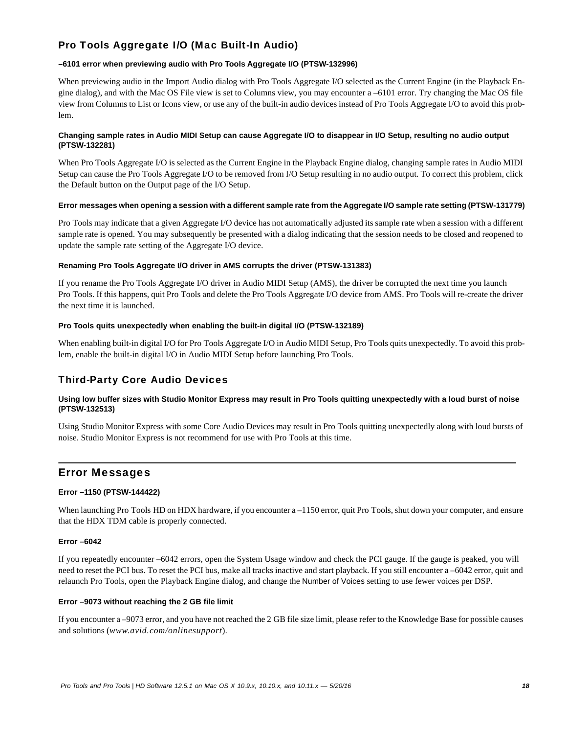# Pro Tools Aggregate I/O (Mac Built-In Audio)

# **–6101 error when previewing audio with Pro Tools Aggregate I/O (PTSW-132996)**

When previewing audio in the Import Audio dialog with Pro Tools Aggregate I/O selected as the Current Engine (in the Playback Engine dialog), and with the Mac OS File view is set to Columns view, you may encounter a –6101 error. Try changing the Mac OS file view from Columns to List or Icons view, or use any of the built-in audio devices instead of Pro Tools Aggregate I/O to avoid this problem.

### **Changing sample rates in Audio MIDI Setup can cause Aggregate I/O to disappear in I/O Setup, resulting no audio output (PTSW-132281)**

When Pro Tools Aggregate I/O is selected as the Current Engine in the Playback Engine dialog, changing sample rates in Audio MIDI Setup can cause the Pro Tools Aggregate I/O to be removed from I/O Setup resulting in no audio output. To correct this problem, click the Default button on the Output page of the I/O Setup.

#### **Error messages when opening a session with a different sample rate from the Aggregate I/O sample rate setting (PTSW-131779)**

Pro Tools may indicate that a given Aggregate I/O device has not automatically adjusted its sample rate when a session with a different sample rate is opened. You may subsequently be presented with a dialog indicating that the session needs to be closed and reopened to update the sample rate setting of the Aggregate I/O device.

#### **Renaming Pro Tools Aggregate I/O driver in AMS corrupts the driver (PTSW-131383)**

If you rename the Pro Tools Aggregate I/O driver in Audio MIDI Setup (AMS), the driver be corrupted the next time you launch Pro Tools. If this happens, quit Pro Tools and delete the Pro Tools Aggregate I/O device from AMS. Pro Tools will re-create the driver the next time it is launched.

#### **Pro Tools quits unexpectedly when enabling the built-in digital I/O (PTSW-132189)**

When enabling built-in digital I/O for Pro Tools Aggregate I/O in Audio MIDI Setup, Pro Tools quits unexpectedly. To avoid this problem, enable the built-in digital I/O in Audio MIDI Setup before launching Pro Tools.

# Third-Party Core Audio Devices

# **Using low buffer sizes with Studio Monitor Express may result in Pro Tools quitting unexpectedly with a loud burst of noise (PTSW-132513)**

Using Studio Monitor Express with some Core Audio Devices may result in Pro Tools quitting unexpectedly along with loud bursts of noise. Studio Monitor Express is not recommend for use with Pro Tools at this time.

# Error Messages

# **Error –1150 (PTSW-144422)**

When launching Pro Tools HD on HDX hardware, if you encounter a –1150 error, quit Pro Tools, shut down your computer, and ensure that the HDX TDM cable is properly connected.

# **Error –6042**

If you repeatedly encounter –6042 errors, open the System Usage window and check the PCI gauge. If the gauge is peaked, you will need to reset the PCI bus. To reset the PCI bus, make all tracks inactive and start playback. If you still encounter a –6042 error, quit and relaunch Pro Tools, open the Playback Engine dialog, and change the Number of Voices setting to use fewer voices per DSP.

#### **Error –9073 without reaching the 2 GB file limit**

If you encounter a –9073 error, and you have not reached the 2 GB file size limit, please refer to the Knowledge Base for possible causes and solutions (*www.avid.com/onlinesupport*).